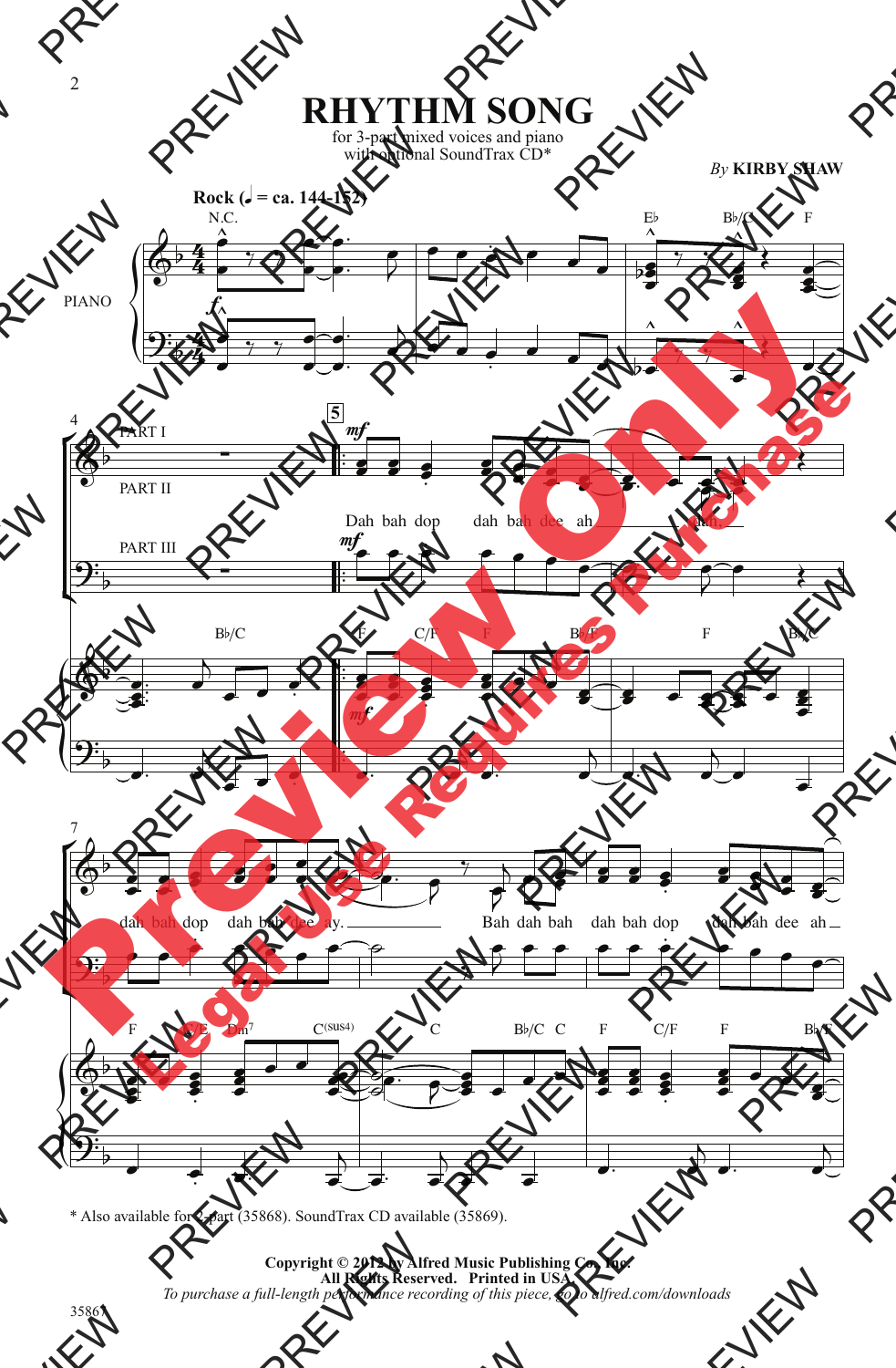for 3-part mixed voices and piano with optional SoundTrax CD\*

 *By* **KIRBY SHAW**



\* Also available for 2-part (35868). SoundTrax CD available (35869).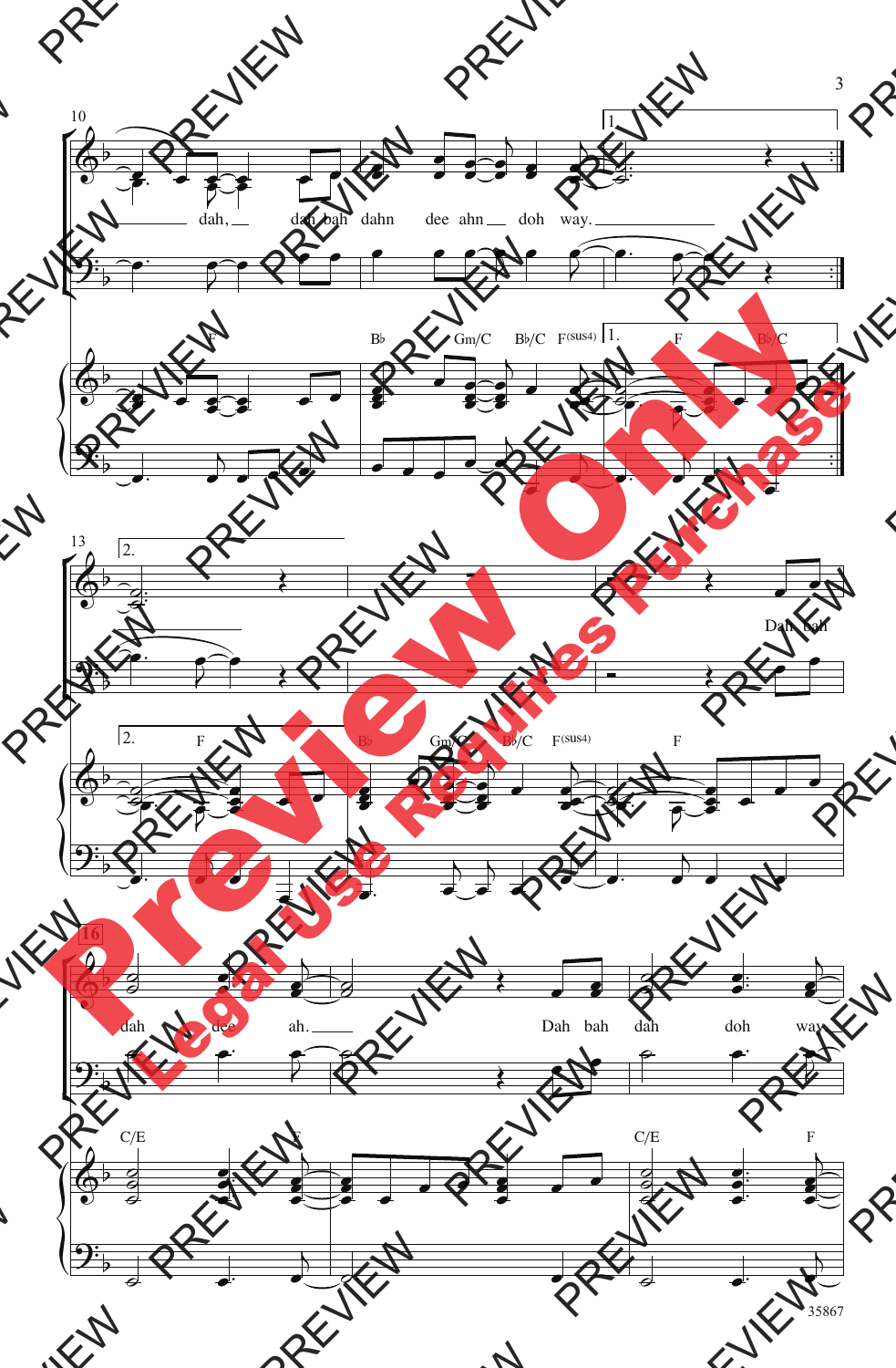

3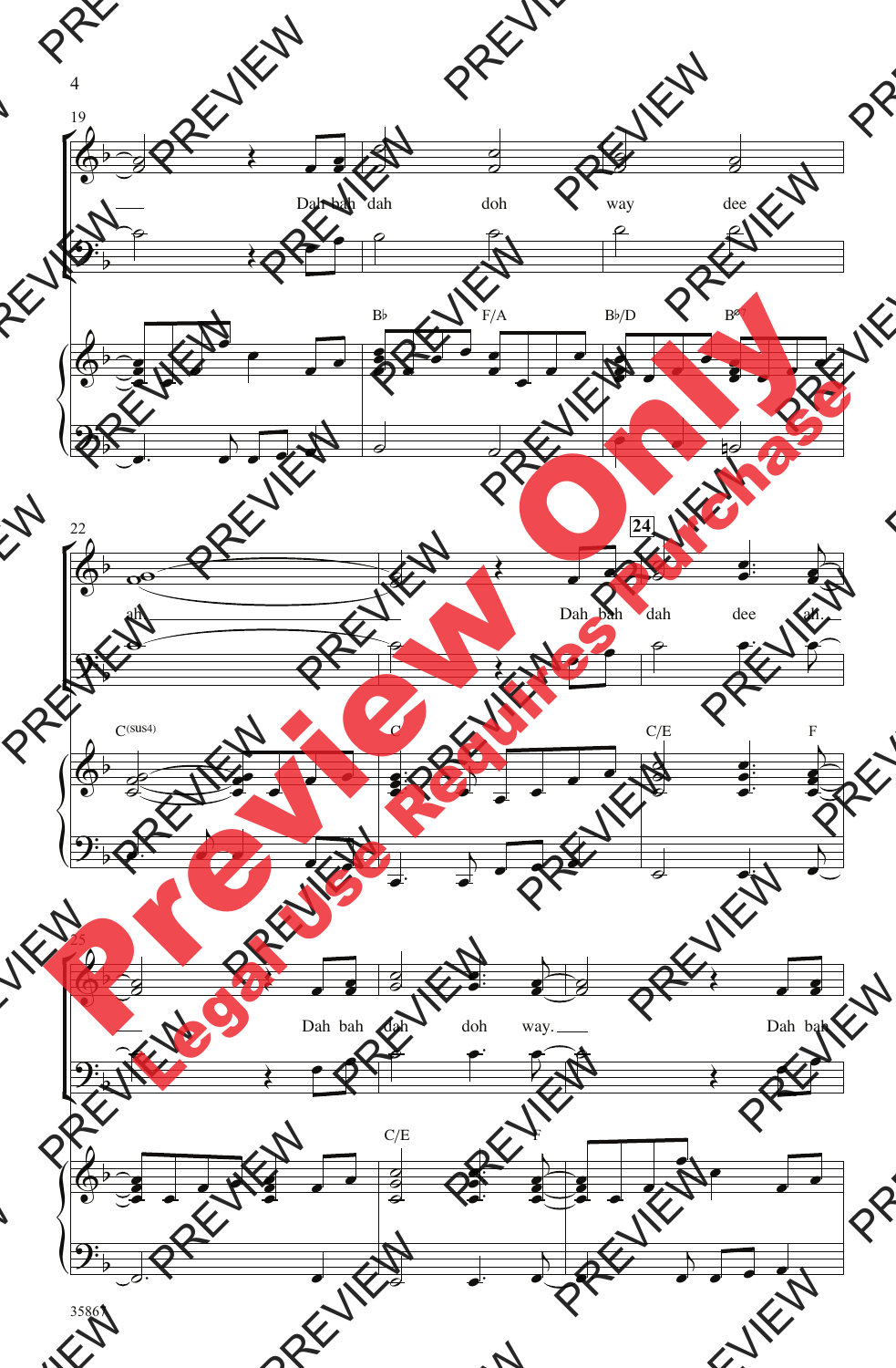

35867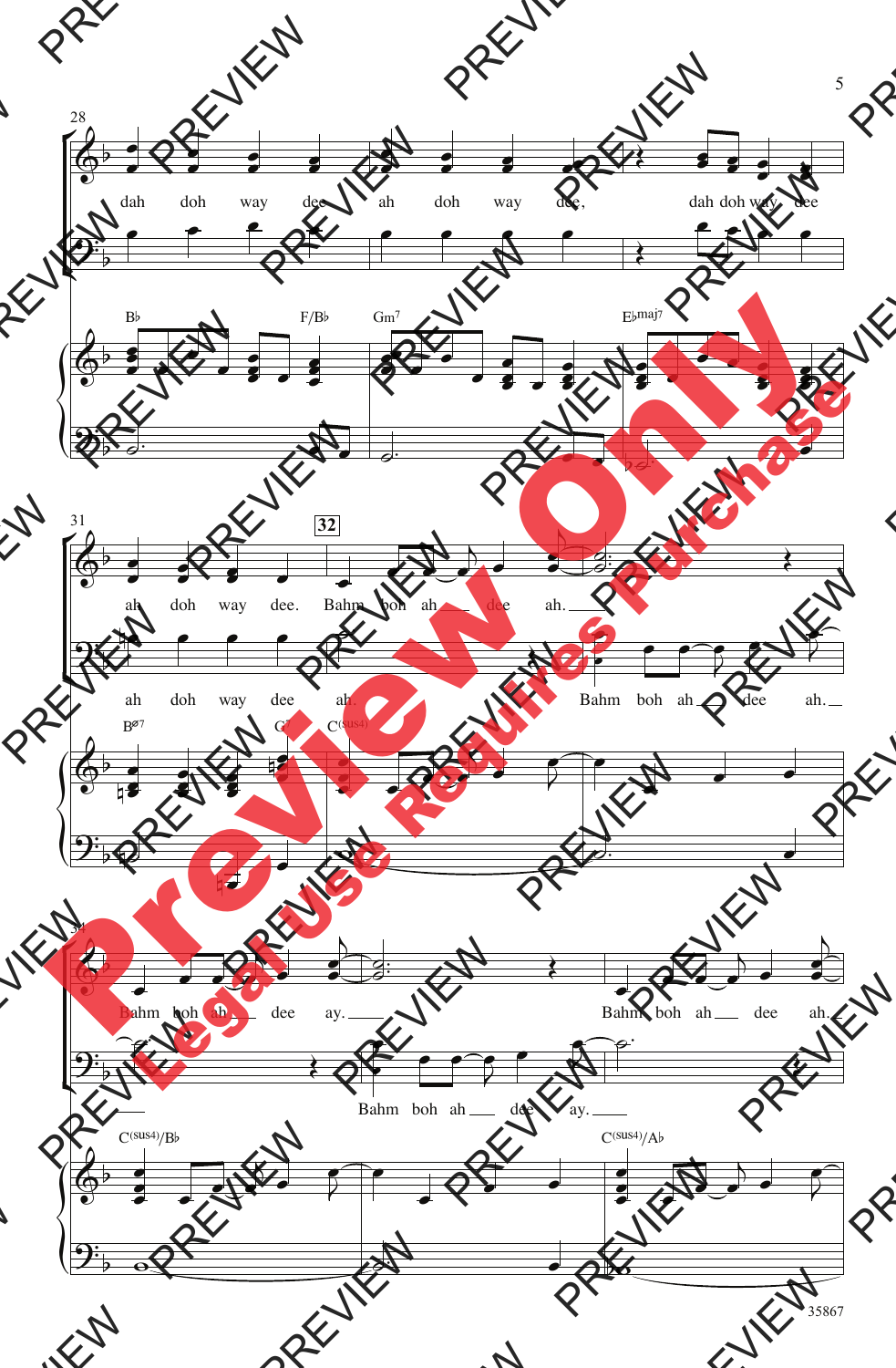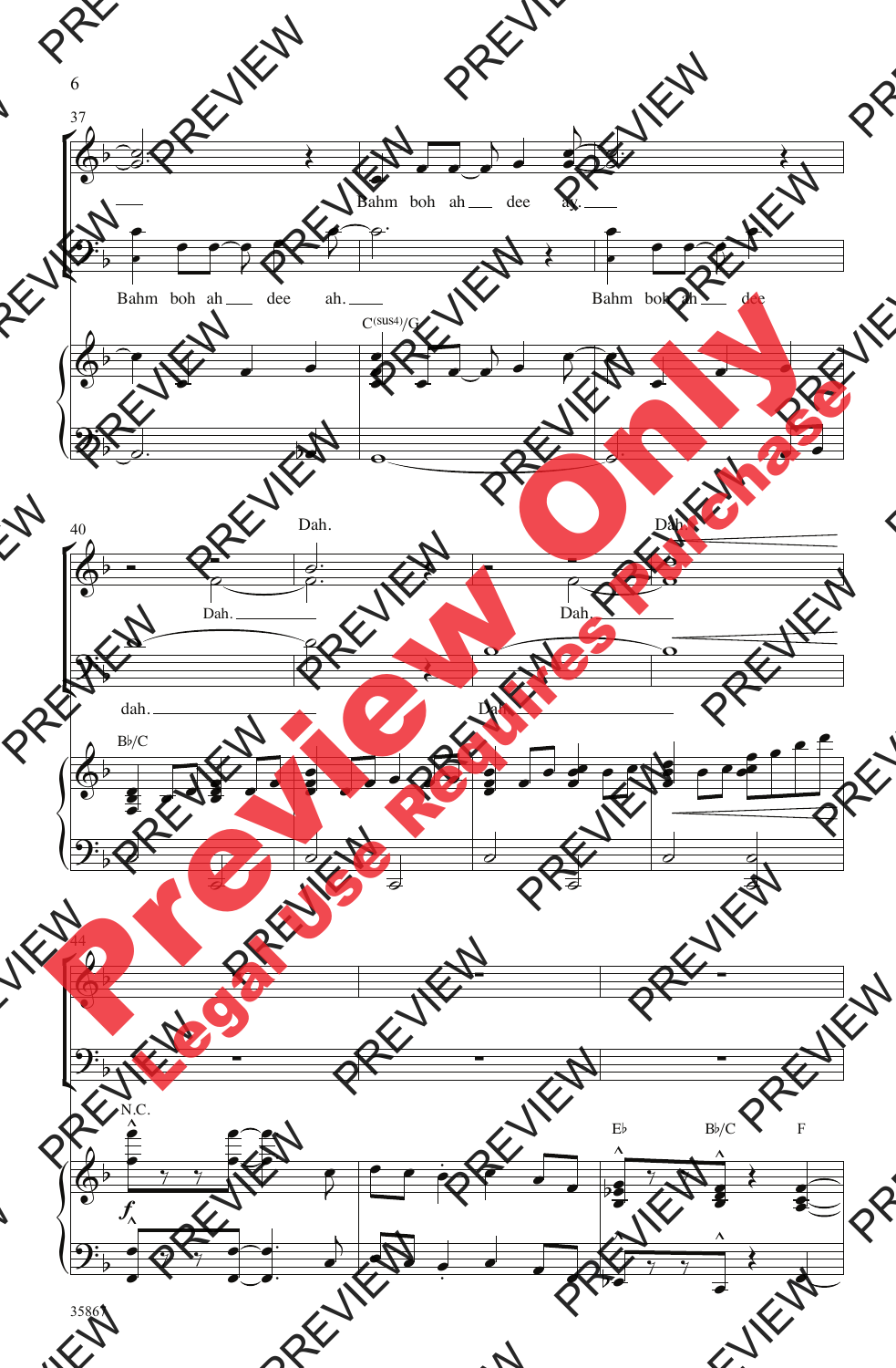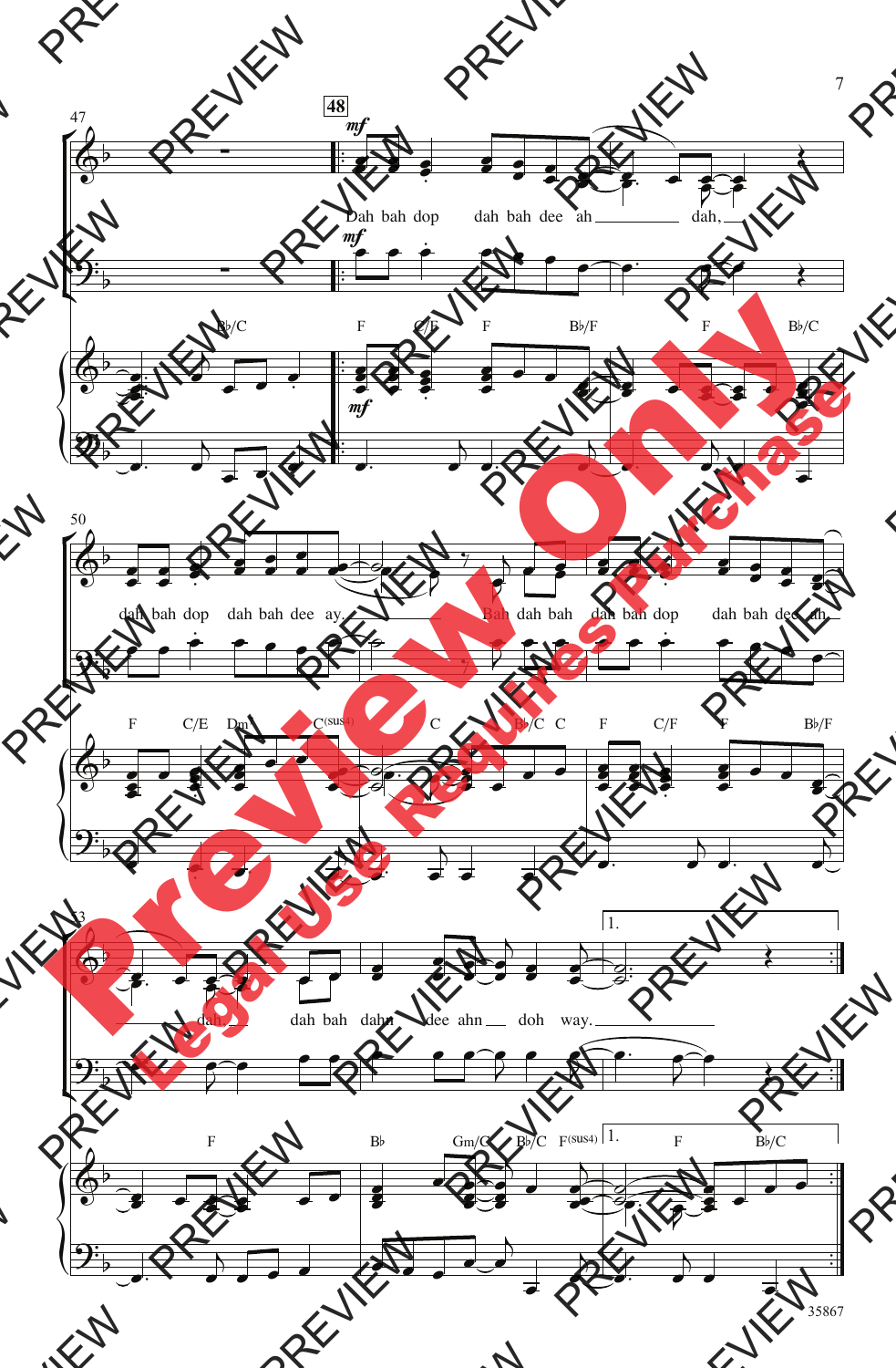